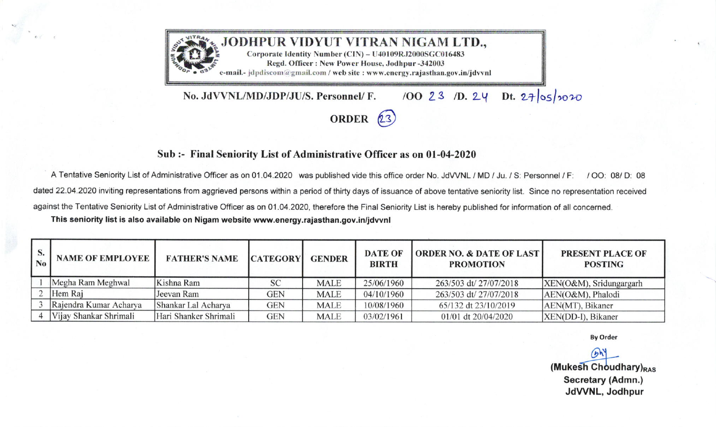

## Sub :- Final Seniority List of Administrative Officer as on 01-04-2020

A Tentative Seniority List of Administrative Officer as on 01.04.2020 was published vide this office order No. JdVVNL / MD / Ju. / S: Personnel / F: / OO: 08/ D: 08 dated 22.04.2020 inviting representations from aggrieved persons within a period of thirty days of issuance of above tentative seniority list. Since no representation received against the Tentative Seniority List of Administrative Officer as on 01.04.2020, therefore the Final Seniority List is hereby published for information of all concerned. This seniority list is also available on Nigam website www.energy.rajasthan.gov.in/jdvvnl

| S.<br>N <sub>0</sub> | <b>NAME OF EMPLOYEE</b> | <b>FATHER'S NAME</b>  | <b>CATEGORY</b> | <b>GENDER</b> | <b>DATE OF</b><br><b>BIRTH</b> | <b>ORDER NO. &amp; DATE OF LAST</b><br><b>PROMOTION</b> | <b>PRESENT PLACE OF</b><br><b>POSTING</b> |
|----------------------|-------------------------|-----------------------|-----------------|---------------|--------------------------------|---------------------------------------------------------|-------------------------------------------|
|                      | Megha Ram Meghwal       | Kishna Ram            | SC              | <b>MALE</b>   | 25/06/1960                     | 263/503 dt/ 27/07/2018                                  | XEN(O&M), Sridungargarh                   |
|                      | Hem Raj                 | Jeevan Ram            | <b>GEN</b>      | <b>MALE</b>   | 04/10/1960                     | 263/503 dt/ 27/07/2018                                  | AEN(O&M), Phalodi                         |
|                      | Rajendra Kumar Acharya  | Shankar Lal Acharya   | <b>GEN</b>      | <b>MALE</b>   | 10/08/1960                     | 65/132 dt 23/10/2019                                    | AEN(MT), Bikaner                          |
|                      | Vijay Shankar Shrimali  | Hari Shanker Shrimali | <b>GEN</b>      | <b>MALE</b>   | 03/02/1961                     | 01/01 dt 20/04/2020                                     | XEN(DD-I), Bikaner                        |

**By Order** 

 $(b)$ (Mukesh Choudhary)<sub>RAS</sub> Secretary (Admn.) JdVVNL, Jodhpur